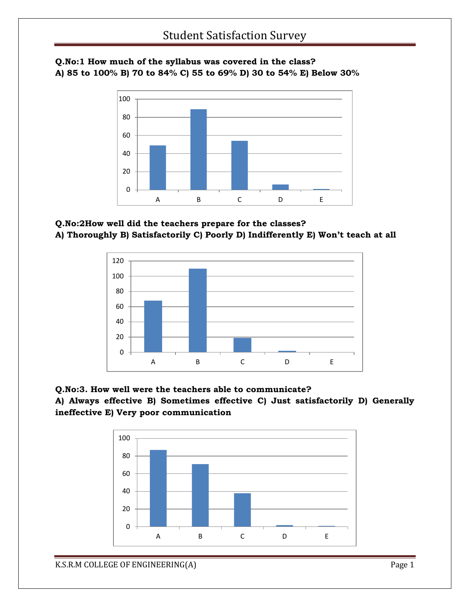#### **Q.No:1 How much of the syllabus was covered in the class? A) 85 to 100% B) 70 to 84% C) 55 to 69% D) 30 to 54% E) Below 30%**



### **Q.No:2How well did the teachers prepare for the classes? A) Thoroughly B) Satisfactorily C) Poorly D) Indifferently E) Won't teach at all**



#### **Q.No:3. How well were the teachers able to communicate?**

**A) Always effective B) Sometimes effective C) Just satisfactorily D) Generally ineffective E) Very poor communication**

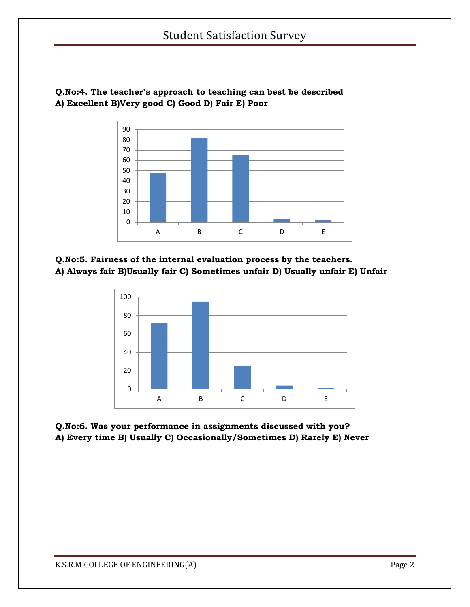

**Q.No:4. The teacher's approach to teaching can best be described A) Excellent B)Very good C) Good D) Fair E) Poor**

**Q.No:5. Fairness of the internal evaluation process by the teachers. A) Always fair B)Usually fair C) Sometimes unfair D) Usually unfair E) Unfair**



**Q.No:6. Was your performance in assignments discussed with you? A) Every time B) Usually C) Occasionally/Sometimes D) Rarely E) Never**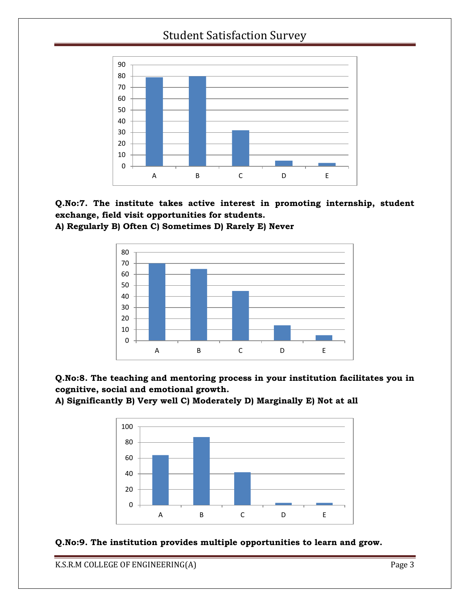







**A) Significantly B) Very well C) Moderately D) Marginally E) Not at all**



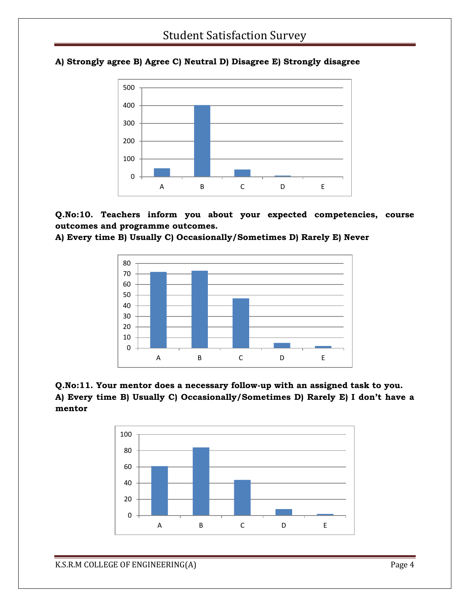

#### **A) Strongly agree B) Agree C) Neutral D) Disagree E) Strongly disagree**

**Q.No:10. Teachers inform you about your expected competencies, course outcomes and programme outcomes.**





#### **Q.No:11. Your mentor does a necessary follow-up with an assigned task to you. A) Every time B) Usually C) Occasionally/Sometimes D) Rarely E) I don't have a mentor**

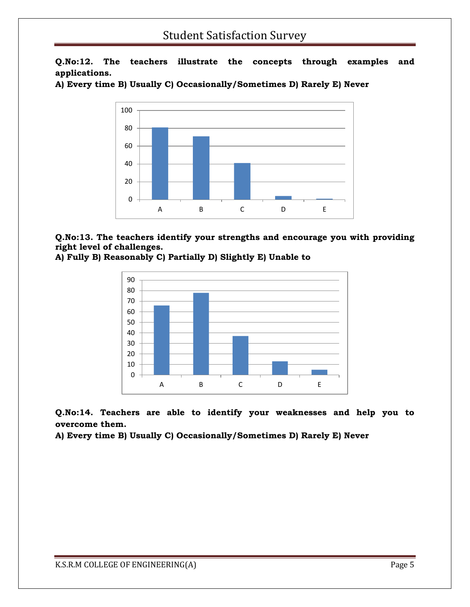**Q.No:12. The teachers illustrate the concepts through examples and applications.**





**Q.No:13. The teachers identify your strengths and encourage you with providing right level of challenges.**





**Q.No:14. Teachers are able to identify your weaknesses and help you to overcome them.**

**A) Every time B) Usually C) Occasionally/Sometimes D) Rarely E) Never**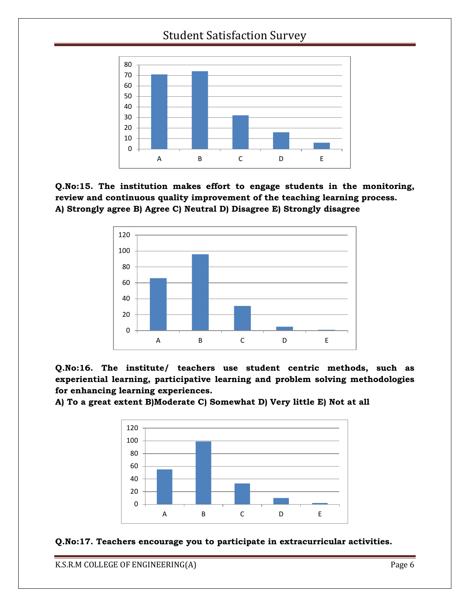

**Q.No:15. The institution makes effort to engage students in the monitoring, review and continuous quality improvement of the teaching learning process. A) Strongly agree B) Agree C) Neutral D) Disagree E) Strongly disagree**



**Q.No:16. The institute/ teachers use student centric methods, such as experiential learning, participative learning and problem solving methodologies for enhancing learning experiences.**

**A) To a great extent B)Moderate C) Somewhat D) Very little E) Not at all**



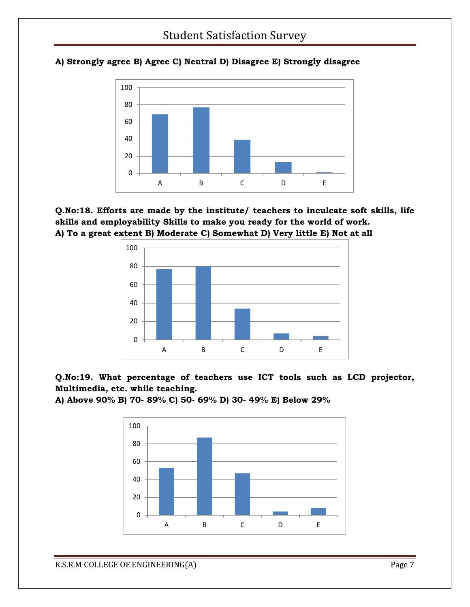

#### **A) Strongly agree B) Agree C) Neutral D) Disagree E) Strongly disagree**





**Q.No:19. What percentage of teachers use ICT tools such as LCD projector, Multimedia, etc. while teaching.**

**A) Above 90% B) 70- 89% C) 50- 69% D) 30- 49% E) Below 29%**